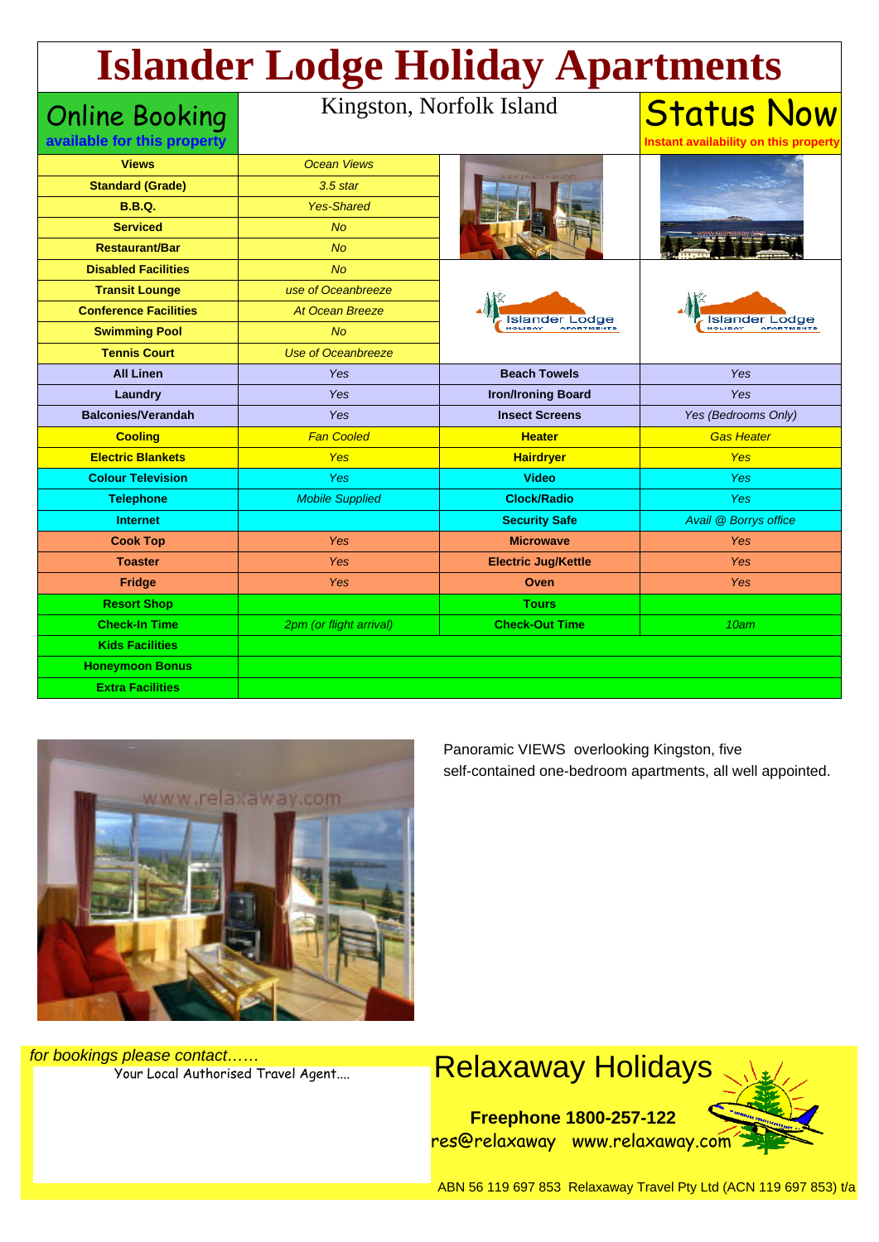## **Islander Lodge Holiday Apartments**

| <b>Online Booking</b>        | Kingston, Norfolk Island  |                            | <b>Status Now</b>                     |
|------------------------------|---------------------------|----------------------------|---------------------------------------|
| available for this property  |                           |                            | Instant availability on this property |
| <b>Views</b>                 | <b>Ocean Views</b>        |                            |                                       |
| <b>Standard (Grade)</b>      | $3.5$ star                |                            |                                       |
| <b>B.B.Q.</b>                | <b>Yes-Shared</b>         |                            |                                       |
| <b>Serviced</b>              | <b>No</b>                 |                            |                                       |
| <b>Restaurant/Bar</b>        | No                        |                            |                                       |
| <b>Disabled Facilities</b>   | <b>No</b>                 | Islander Lodge<br>HOLIDAY  | Lodge<br>Islander<br>HOLIDAY          |
| <b>Transit Lounge</b>        | use of Oceanbreeze        |                            |                                       |
| <b>Conference Facilities</b> | <b>At Ocean Breeze</b>    |                            |                                       |
| <b>Swimming Pool</b>         | <b>No</b>                 |                            |                                       |
| <b>Tennis Court</b>          | <b>Use of Oceanbreeze</b> |                            |                                       |
| <b>All Linen</b>             | Yes                       | <b>Beach Towels</b>        | Yes                                   |
| Laundry                      | Yes                       | <b>Iron/Ironing Board</b>  | <b>Yes</b>                            |
| <b>Balconies/Verandah</b>    | Yes                       | <b>Insect Screens</b>      | Yes (Bedrooms Only)                   |
| <b>Cooling</b>               | <b>Fan Cooled</b>         | <b>Heater</b>              | <b>Gas Heater</b>                     |
| <b>Electric Blankets</b>     | Yes                       | <b>Hairdryer</b>           | <b>Yes</b>                            |
| <b>Colour Television</b>     | Yes                       | <b>Video</b>               | <b>Yes</b>                            |
| <b>Telephone</b>             | <b>Mobile Supplied</b>    | <b>Clock/Radio</b>         | <b>Yes</b>                            |
| <b>Internet</b>              |                           | <b>Security Safe</b>       | Avail @ Borrys office                 |
| <b>Cook Top</b>              | Yes                       | <b>Microwave</b>           | Yes                                   |
| <b>Toaster</b>               | Yes                       | <b>Electric Jug/Kettle</b> | <b>Yes</b>                            |
| Fridge                       | Yes                       | Oven                       | <b>Yes</b>                            |
| <b>Resort Shop</b>           |                           | <b>Tours</b>               |                                       |
| <b>Check-In Time</b>         | 2pm (or flight arrival)   | <b>Check-Out Time</b>      | 10am                                  |
| <b>Kids Facilities</b>       |                           |                            |                                       |
| <b>Honeymoon Bonus</b>       |                           |                            |                                       |
| <b>Extra Facilities</b>      |                           |                            |                                       |



Panoramic VIEWS overlooking Kingston, five self-contained one-bedroom apartments, all well appointed.

for bookings please contact……



ABN 56 119 697 853 Relaxaway Travel Pty Ltd (ACN 119 697 853) t/a